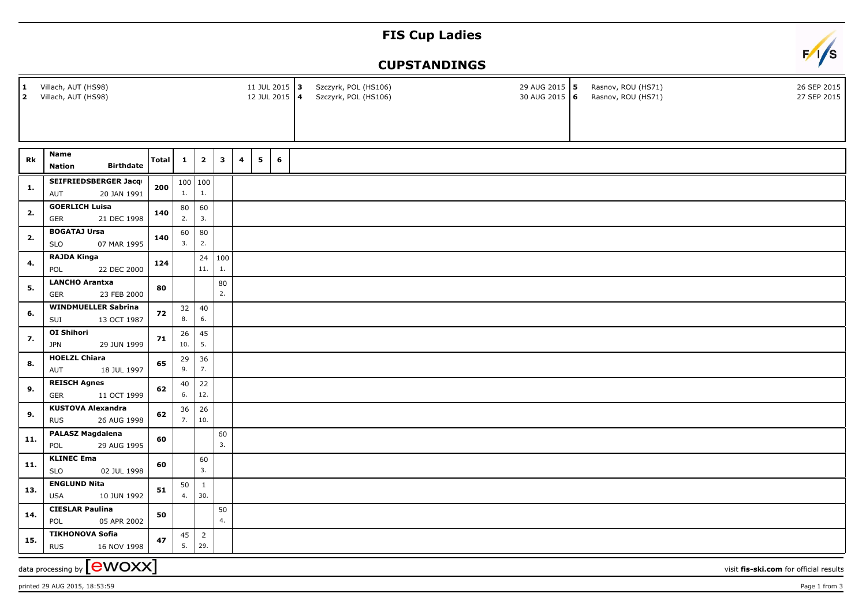## **FIS Cup Ladies**



## **CUPSTANDINGS**

| 1<br>2 | Villach, AUT (HS98)<br>Villach, AUT (HS98)                                          |              |              |                |            | 11 JUL 2015 3<br>12 JUL 2015 4 |   |                | Szczyrk, POL (HS106)<br>Szczyrk, POL (HS106) |  |  | 29 AUG 2015 5<br>30 AUG 2015 6 | Rasnov, ROU (HS71)<br>Rasnov, ROU (HS71) |  | 26 SEP 2015<br>27 SEP 2015 |  |
|--------|-------------------------------------------------------------------------------------|--------------|--------------|----------------|------------|--------------------------------|---|----------------|----------------------------------------------|--|--|--------------------------------|------------------------------------------|--|----------------------------|--|
|        |                                                                                     |              |              |                |            |                                |   |                |                                              |  |  |                                |                                          |  |                            |  |
|        |                                                                                     |              |              |                |            |                                |   |                |                                              |  |  |                                |                                          |  |                            |  |
| Rk     | <b>Name</b>                                                                         | <b>Total</b> | $\mathbf{1}$ | $\mathbf{2}$   | 3          | $\overline{\mathbf{4}}$        | 5 | $6\phantom{1}$ |                                              |  |  |                                |                                          |  |                            |  |
|        | <b>Birthdate</b><br><b>Nation</b>                                                   |              |              |                |            |                                |   |                |                                              |  |  |                                |                                          |  |                            |  |
|        | SEIFRIEDSBERGER Jacqu                                                               | 200          |              | 100   100      |            |                                |   |                |                                              |  |  |                                |                                          |  |                            |  |
| 1.     | 20 JAN 1991<br>AUT                                                                  |              | 1.           | 1.             |            |                                |   |                |                                              |  |  |                                |                                          |  |                            |  |
| 2.     | <b>GOERLICH Luisa</b>                                                               | 140          | 80           | 60             |            |                                |   |                |                                              |  |  |                                |                                          |  |                            |  |
|        | <b>GER</b><br>21 DEC 1998                                                           |              | 2.           | 3.             |            |                                |   |                |                                              |  |  |                                |                                          |  |                            |  |
|        | <b>BOGATAJ Ursa</b>                                                                 |              | 60           | 80             |            |                                |   |                |                                              |  |  |                                |                                          |  |                            |  |
| 2.     | 07 MAR 1995<br><b>SLO</b>                                                           | 140          | 3.           | 2.             |            |                                |   |                |                                              |  |  |                                |                                          |  |                            |  |
|        | <b>RAJDA Kinga</b>                                                                  |              |              |                | 24 100     |                                |   |                |                                              |  |  |                                |                                          |  |                            |  |
| 4.     | 22 DEC 2000<br>POL                                                                  | 124          |              | 11.            | 1.         |                                |   |                |                                              |  |  |                                |                                          |  |                            |  |
|        | <b>LANCHO Arantxa</b>                                                               |              |              |                | ${\bf 80}$ |                                |   |                |                                              |  |  |                                |                                          |  |                            |  |
| 5.     | <b>GER</b><br>23 FEB 2000                                                           | 80           |              |                | 2.         |                                |   |                |                                              |  |  |                                |                                          |  |                            |  |
|        | <b>WINDMUELLER Sabrina</b>                                                          |              | 32           | 40             |            |                                |   |                |                                              |  |  |                                |                                          |  |                            |  |
| 6.     | SUI<br>13 OCT 1987                                                                  | 72           | 8.           | 6.             |            |                                |   |                |                                              |  |  |                                |                                          |  |                            |  |
|        | <b>OI Shihori</b>                                                                   | 71           | 26           | 45             |            |                                |   |                |                                              |  |  |                                |                                          |  |                            |  |
| 7.     | <b>JPN</b><br>29 JUN 1999                                                           |              | 10.          | 5.             |            |                                |   |                |                                              |  |  |                                |                                          |  |                            |  |
|        | <b>HOELZL Chiara</b>                                                                |              | 29           | 36             |            |                                |   |                |                                              |  |  |                                |                                          |  |                            |  |
| 8.     | AUT<br>18 JUL 1997                                                                  | 65           | 9.           | 7.             |            |                                |   |                |                                              |  |  |                                |                                          |  |                            |  |
|        |                                                                                     |              |              |                |            |                                |   |                |                                              |  |  |                                |                                          |  |                            |  |
| 9.     | <b>REISCH Agnes</b>                                                                 | 62           | 40           | 22             |            |                                |   |                |                                              |  |  |                                |                                          |  |                            |  |
|        | <b>GER</b><br>11 OCT 1999                                                           |              | 6.           | 12.            |            |                                |   |                |                                              |  |  |                                |                                          |  |                            |  |
|        | <b>KUSTOVA Alexandra</b>                                                            |              | 36           | 26             |            |                                |   |                |                                              |  |  |                                |                                          |  |                            |  |
| 9.     | <b>RUS</b><br>26 AUG 1998                                                           | 62           | 7.           | 10.            |            |                                |   |                |                                              |  |  |                                |                                          |  |                            |  |
|        | <b>PALASZ Magdalena</b>                                                             |              |              |                | 60         |                                |   |                |                                              |  |  |                                |                                          |  |                            |  |
| 11.    | POL<br>29 AUG 1995                                                                  | 60           |              |                | 3.         |                                |   |                |                                              |  |  |                                |                                          |  |                            |  |
|        | <b>KLINEC Ema</b>                                                                   |              |              | 60             |            |                                |   |                |                                              |  |  |                                |                                          |  |                            |  |
| 11.    | 02 JUL 1998<br><b>SLO</b>                                                           | 60           |              | 3.             |            |                                |   |                |                                              |  |  |                                |                                          |  |                            |  |
|        |                                                                                     |              |              |                |            |                                |   |                |                                              |  |  |                                |                                          |  |                            |  |
| 13.    | <b>ENGLUND Nita</b>                                                                 | 51           | 50           | $\mathbf{1}$   |            |                                |   |                |                                              |  |  |                                |                                          |  |                            |  |
|        | <b>USA</b><br>10 JUN 1992                                                           |              | 4.           | 30.            |            |                                |   |                |                                              |  |  |                                |                                          |  |                            |  |
|        | <b>CIESLAR Paulina</b>                                                              |              |              |                | 50         |                                |   |                |                                              |  |  |                                |                                          |  |                            |  |
| 14.    | POL<br>05 APR 2002                                                                  | 50           |              |                | 4.         |                                |   |                |                                              |  |  |                                |                                          |  |                            |  |
|        | <b>TIKHONOVA Sofia</b>                                                              |              | 45           | $\overline{2}$ |            |                                |   |                |                                              |  |  |                                |                                          |  |                            |  |
| 15.    | <b>RUS</b><br>16 NOV 1998                                                           | 47           | 5.           | 29.            |            |                                |   |                |                                              |  |  |                                |                                          |  |                            |  |
|        | data processing by $\boxed{\text{ewoxx}}$<br>visit fis-ski.com for official results |              |              |                |            |                                |   |                |                                              |  |  |                                |                                          |  |                            |  |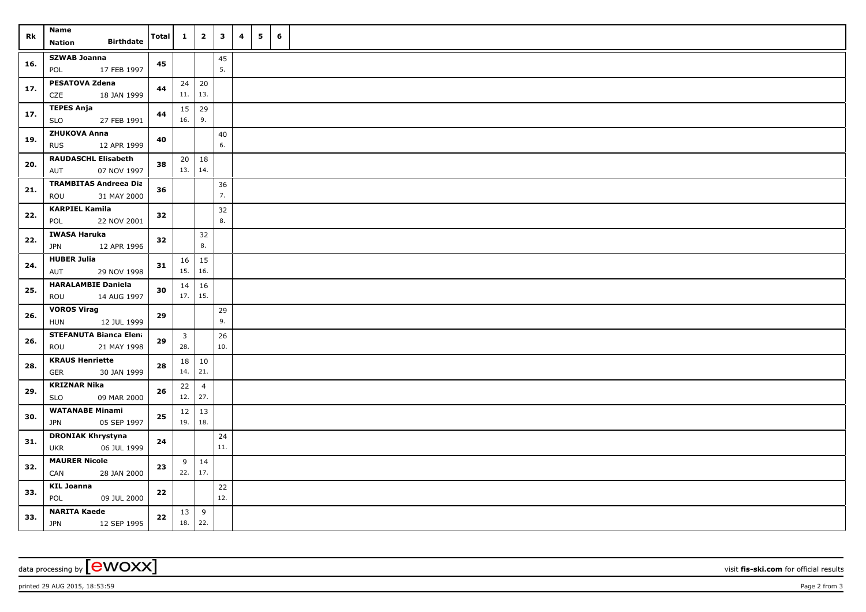| Rk  | Name<br><b>Birthdate</b><br>Nation                    | <b>Total</b> | $\mathbf{1}$                   | $\overline{2}$ | $\mathbf{3}$ | 4 | 5 | 6 |  |
|-----|-------------------------------------------------------|--------------|--------------------------------|----------------|--------------|---|---|---|--|
| 16. | <b>SZWAB Joanna</b><br>POL<br>17 FEB 1997             | 45           |                                |                | $45\,$<br>5. |   |   |   |  |
| 17. | <b>PESATOVA Zdena</b><br>CZE<br>18 JAN 1999           | 44           | $24 \mid 20$<br>11.            | 13.            |              |   |   |   |  |
| 17. | <b>TEPES Anja</b><br>27 FEB 1991<br><b>SLO</b>        | 44           | $15 \mid 29$<br>16.            | 9.             |              |   |   |   |  |
| 19. | <b>ZHUKOVA Anna</b><br><b>RUS</b><br>12 APR 1999      | 40           |                                |                | $40\,$<br>6. |   |   |   |  |
| 20. | <b>RAUDASCHL Elisabeth</b><br>AUT<br>07 NOV 1997      | 38           | $20 \mid 18$<br>13. 14.        |                |              |   |   |   |  |
| 21. | <b>TRAMBITAS Andreea Dia</b><br>ROU<br>31 MAY 2000    | 36           |                                |                | 36<br>7.     |   |   |   |  |
| 22. | <b>KARPIEL Kamila</b><br>POL<br>22 NOV 2001           | 32           |                                |                | 32<br>8.     |   |   |   |  |
| 22. | <b>IWASA Haruka</b><br>12 APR 1996<br>JPN             | 32           |                                | 32<br>8.       |              |   |   |   |  |
| 24. | <b>HUBER Julia</b><br>AUT<br>29 NOV 1998              | 31           | $16 \mid 15$<br>15.            | 16.            |              |   |   |   |  |
| 25. | <b>HARALAMBIE Daniela</b><br>ROU<br>14 AUG 1997       | 30           | 14<br>$17. \mid 15.$           | 16             |              |   |   |   |  |
| 26. | <b>VOROS Virag</b><br><b>HUN</b><br>12 JUL 1999       | 29           |                                |                | 29<br>9.     |   |   |   |  |
| 26. | <b>STEFANUTA Bianca Elena</b><br>ROU<br>21 MAY 1998   | 29           | $\overline{\mathbf{3}}$<br>28. |                | 26<br>10.    |   |   |   |  |
| 28. | <b>KRAUS Henriette</b><br><b>GER</b><br>30 JAN 1999   | 28           | 18 10<br>14.   21.             |                |              |   |   |   |  |
| 29. | <b>KRIZNAR Nika</b><br><b>SLO</b><br>09 MAR 2000      | 26           | 22<br>12.   27.                | $\overline{4}$ |              |   |   |   |  |
| 30. | <b>WATANABE Minami</b><br>05 SEP 1997<br><b>JPN</b>   | 25           | $12 \mid 13$<br>$19.$ 18.      |                |              |   |   |   |  |
| 31. | <b>DRONIAK Khrystyna</b><br><b>UKR</b><br>06 JUL 1999 | 24           |                                |                | 24<br>11.    |   |   |   |  |
| 32. | <b>MAURER Nicole</b><br>CAN<br>28 JAN 2000            | 23           | 9<br>22.   17.                 | 14             |              |   |   |   |  |
| 33. | <b>KIL Joanna</b><br>POL<br>09 JUL 2000               | 22           |                                |                | 22<br>12.    |   |   |   |  |
| 33. | <b>NARITA Kaede</b><br><b>JPN</b><br>12 SEP 1995      | 22           | $13 \mid 9$<br>18.             | 22.            |              |   |   |   |  |

data processing by **CWOXX** visit **fis-ski.com** for official results